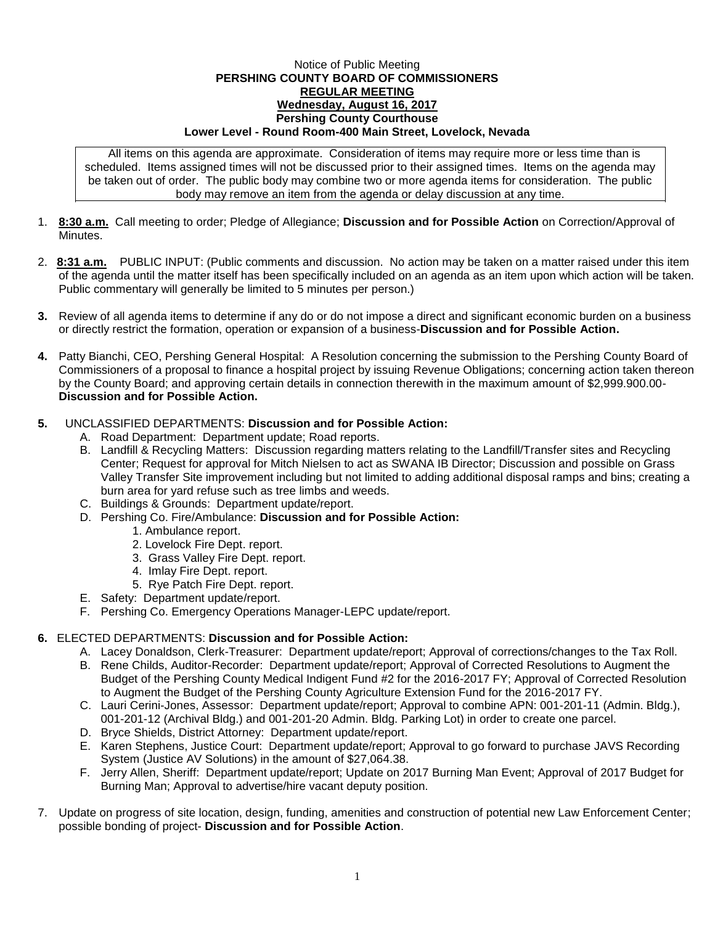## Notice of Public Meeting **PERSHING COUNTY BOARD OF COMMISSIONERS REGULAR MEETING Wednesday, August 16, 2017 Pershing County Courthouse Lower Level - Round Room-400 Main Street, Lovelock, Nevada**

All items on this agenda are approximate. Consideration of items may require more or less time than is scheduled. Items assigned times will not be discussed prior to their assigned times. Items on the agenda may be taken out of order. The public body may combine two or more agenda items for consideration. The public body may remove an item from the agenda or delay discussion at any time.

- 1. **8:30 a.m.** Call meeting to order; Pledge of Allegiance; **Discussion and for Possible Action** on Correction/Approval of **Minutes**
- 2. **8:31 a.m.** PUBLIC INPUT: (Public comments and discussion. No action may be taken on a matter raised under this item of the agenda until the matter itself has been specifically included on an agenda as an item upon which action will be taken. Public commentary will generally be limited to 5 minutes per person.)
- **3.** Review of all agenda items to determine if any do or do not impose a direct and significant economic burden on a business or directly restrict the formation, operation or expansion of a business-**Discussion and for Possible Action.**
- **4.** Patty Bianchi, CEO, Pershing General Hospital: A Resolution concerning the submission to the Pershing County Board of Commissioners of a proposal to finance a hospital project by issuing Revenue Obligations; concerning action taken thereon by the County Board; and approving certain details in connection therewith in the maximum amount of \$2,999.900.00- **Discussion and for Possible Action.**

## **5.** UNCLASSIFIED DEPARTMENTS: **Discussion and for Possible Action:**

- A. Road Department: Department update; Road reports.
- B. Landfill & Recycling Matters: Discussion regarding matters relating to the Landfill/Transfer sites and Recycling Center; Request for approval for Mitch Nielsen to act as SWANA IB Director; Discussion and possible on Grass Valley Transfer Site improvement including but not limited to adding additional disposal ramps and bins; creating a burn area for yard refuse such as tree limbs and weeds.
- C. Buildings & Grounds: Department update/report.
- D. Pershing Co. Fire/Ambulance: **Discussion and for Possible Action:**
	- 1. Ambulance report.
	- 2. Lovelock Fire Dept. report.
	- 3. Grass Valley Fire Dept. report.
	- 4. Imlay Fire Dept. report.
	- 5. Rye Patch Fire Dept. report.
- E. Safety: Department update/report.
- F. Pershing Co. Emergency Operations Manager-LEPC update/report.

## **6.** ELECTED DEPARTMENTS: **Discussion and for Possible Action:**

- A. Lacey Donaldson, Clerk-Treasurer: Department update/report; Approval of corrections/changes to the Tax Roll.
- B. Rene Childs, Auditor-Recorder: Department update/report; Approval of Corrected Resolutions to Augment the Budget of the Pershing County Medical Indigent Fund #2 for the 2016-2017 FY; Approval of Corrected Resolution to Augment the Budget of the Pershing County Agriculture Extension Fund for the 2016-2017 FY.
- C. Lauri Cerini-Jones, Assessor: Department update/report; Approval to combine APN: 001-201-11 (Admin. Bldg.), 001-201-12 (Archival Bldg.) and 001-201-20 Admin. Bldg. Parking Lot) in order to create one parcel.
- D. Bryce Shields, District Attorney: Department update/report.
- E. Karen Stephens, Justice Court: Department update/report; Approval to go forward to purchase JAVS Recording System (Justice AV Solutions) in the amount of \$27,064.38.
- F. Jerry Allen, Sheriff: Department update/report; Update on 2017 Burning Man Event; Approval of 2017 Budget for Burning Man; Approval to advertise/hire vacant deputy position.
- 7. Update on progress of site location, design, funding, amenities and construction of potential new Law Enforcement Center; possible bonding of project- **Discussion and for Possible Action**.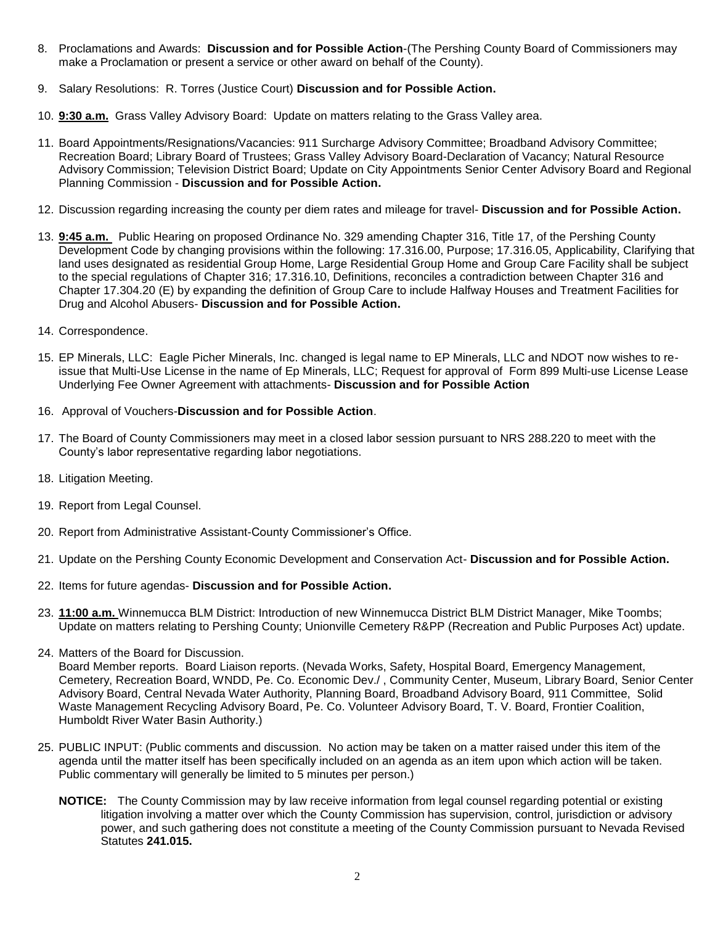- 8. Proclamations and Awards: **Discussion and for Possible Action**-(The Pershing County Board of Commissioners may make a Proclamation or present a service or other award on behalf of the County).
- 9. Salary Resolutions: R. Torres (Justice Court) **Discussion and for Possible Action.**
- 10. **9:30 a.m.** Grass Valley Advisory Board: Update on matters relating to the Grass Valley area.
- 11. Board Appointments/Resignations/Vacancies: 911 Surcharge Advisory Committee; Broadband Advisory Committee; Recreation Board; Library Board of Trustees; Grass Valley Advisory Board-Declaration of Vacancy; Natural Resource Advisory Commission; Television District Board; Update on City Appointments Senior Center Advisory Board and Regional Planning Commission - **Discussion and for Possible Action.**
- 12. Discussion regarding increasing the county per diem rates and mileage for travel- **Discussion and for Possible Action.**
- 13. **9:45 a.m.** Public Hearing on proposed Ordinance No. 329 amending Chapter 316, Title 17, of the Pershing County Development Code by changing provisions within the following: 17.316.00, Purpose; 17.316.05, Applicability, Clarifying that land uses designated as residential Group Home, Large Residential Group Home and Group Care Facility shall be subject to the special regulations of Chapter 316; 17.316.10, Definitions, reconciles a contradiction between Chapter 316 and Chapter 17.304.20 (E) by expanding the definition of Group Care to include Halfway Houses and Treatment Facilities for Drug and Alcohol Abusers- **Discussion and for Possible Action.**
- 14. Correspondence.
- 15. EP Minerals, LLC: Eagle Picher Minerals, Inc. changed is legal name to EP Minerals, LLC and NDOT now wishes to reissue that Multi-Use License in the name of Ep Minerals, LLC; Request for approval of Form 899 Multi-use License Lease Underlying Fee Owner Agreement with attachments- **Discussion and for Possible Action**
- 16. Approval of Vouchers-**Discussion and for Possible Action**.
- 17. The Board of County Commissioners may meet in a closed labor session pursuant to NRS 288.220 to meet with the County's labor representative regarding labor negotiations.
- 18. Litigation Meeting.
- 19. Report from Legal Counsel.
- 20. Report from Administrative Assistant-County Commissioner's Office.
- 21. Update on the Pershing County Economic Development and Conservation Act- **Discussion and for Possible Action.**
- 22. Items for future agendas- **Discussion and for Possible Action.**
- 23. **11:00 a.m.** Winnemucca BLM District: Introduction of new Winnemucca District BLM District Manager, Mike Toombs; Update on matters relating to Pershing County; Unionville Cemetery R&PP (Recreation and Public Purposes Act) update.
- 24. Matters of the Board for Discussion.

Board Member reports. Board Liaison reports. (Nevada Works, Safety, Hospital Board, Emergency Management, Cemetery, Recreation Board, WNDD, Pe. Co. Economic Dev./ , Community Center, Museum, Library Board, Senior Center Advisory Board, Central Nevada Water Authority, Planning Board, Broadband Advisory Board, 911 Committee, Solid Waste Management Recycling Advisory Board, Pe. Co. Volunteer Advisory Board, T. V. Board, Frontier Coalition, Humboldt River Water Basin Authority.)

- 25. PUBLIC INPUT: (Public comments and discussion. No action may be taken on a matter raised under this item of the agenda until the matter itself has been specifically included on an agenda as an item upon which action will be taken. Public commentary will generally be limited to 5 minutes per person.)
	- **NOTICE:** The County Commission may by law receive information from legal counsel regarding potential or existing litigation involving a matter over which the County Commission has supervision, control, jurisdiction or advisory power, and such gathering does not constitute a meeting of the County Commission pursuant to Nevada Revised Statutes **241.015.**